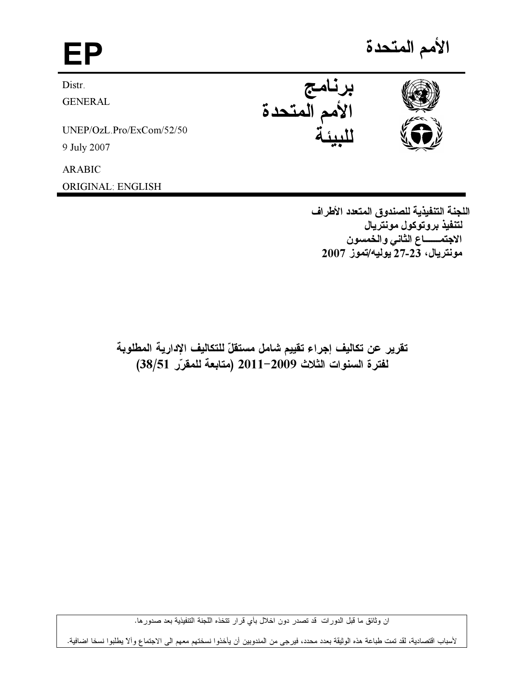الأمم المتحدة EP برنامج<br>الأمم المتحدة Distr. **GENERAL** UNEP/OzL.Pro/ExCom/52/50 9 July 2007

**ARABIC** 

**ORIGINAL: ENGLISH** 

اللجنة التنفيذية للصندوق المتعدد الأطراف لتنفيذ بروتوكول مونتريال الاجتمـــاع الثاني والخمسون مونتريال، 23-27 يوليه/تموز 2007

تقرير عن تكاليف إجراء تقييم شامل مستقلّ للتكاليف الإدارية المطلوبة لفترة السنوات الثلاث 2009-2011 (متابعة للمقرّر 38/51)

ان وثائق ما قبل الدورات قد تصدر دون اخلال بأي قرار تتخذه اللجنة التتفيذية بعد صدورها.

لأسباب اقتصادية، لقد تمت طباعة هذه الوثيقة بعدد محدد، فيرجى من المندوبين أن يأخذوا نسختهم معهم الى الاجتماع وألا يطلبوا نسخا اضافية.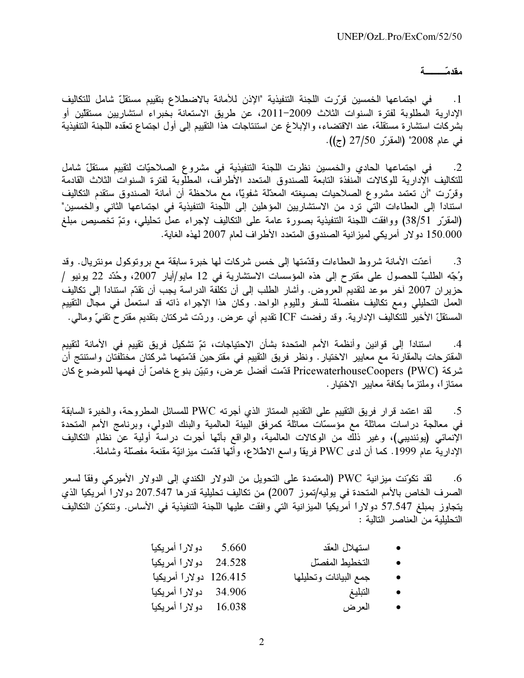## مقدمّــــــــــة

1. في اجتماعها الخمسين قرّرت اللجنة التنفيذية "الإذن للأمانة بالاضطلاع بتقييم مستقلّ شامل للتكاليف الإدارية المطلوبة لفترة السنوات الثلاث 2009–2011، عن طريق الاستعانة بخبراء استشاريين مستقلين أو بشركات استشارة مستقلة، عند الاقتضاء، والإبلاغ عن استنتاجات هذا التقييم إلى أول اجتماع تعقده اللجنة التنفيذية في عام 2008" (المقرّر 27/50 (ج)).

2. في اجتماعها الحادي والخمسين نظرت اللجنة التنفيذية في مشروع الصلاحيّات لتقييم مستقلّ شامل للتكاليف الإدارية للوكالات المنفذة التابعة للصندوق المتعدد الأطراف، المطلوبة لفترة السنوات الثلاث القادمة وقرّرت "أن تعتمد مشروع الصـلاحيات بصيغته المعدّلة شفويّاً، مع ملاحظة أن أمانة الصندوق ستقدم التكاليف استناداً إلى العطاءات التي ترد من الاستشاريين المؤهلين إلى اللجنة التنفيذية في اجتماعها الثاني والخمسين" (المقرّر 38/51) ووافقت اللجنة التنفيذية بصورة عامة على التكاليف لإجراء عملٌ تحليلي، وتمّ تخْصيص مبلغ 150.000 دولار أمريكي لميزانية الصندوق المتعدد الأطراف لعام 2007 لمهذه الغاية.

3. أعتت الأمانة شروط العطاءات وقدّمتها إلى خمس شركات لمها خبرة سابقة مع بروتوكول مونتريال. وقد وُجّه الطلبّ للحصول على مقترح إلى هذه المؤسسات الاستشارية في 12 مايو/أيار 2007، وحُدّد 22 يونيو / حزير ان 2007 آخر موعد لنقديم العروض. وأشار الطلب إلى أن نكلفة الدراسة يُجب أن نقدّم استناداً إلى نكاليف العمل التحليلي ومع تكاليف منفصلة للسفر ولليوم الواحد. وكان هذا الإجراء ذاته قد استعمل في مجال التقييم المستقلّ الأخير للتكاليف الإدارية. وقد رفضت ICF تقديم أي عرض. وردّت شركتان بتقديم مقترح تقنيّ ومالي.

4. استناداً إلى قوانين وأنظمة الأمم المتحدة بشأن الاحتياجات، تمّ تشكيل فريق تقييم في الأمانة لتقييم المقترحات بالمقارنة مع معايير الاختيار . ونظر فريق التقييم في مقترحين قدّمتهما شركتان مختلفتان واستنتج أن شركة PricewaterhouseCoopers (PWC) قدّمت أفضل عرض، وتبيّن بنوع خاصّ أن فهمها للموضوع كان ممتاز1ً، وملتزماً بكافة معايير الاختيار .

5. لقد اعتمد قرار فريق التقييم على التقديم الممتاز الذي أجرته PWC للمسائل المطروحة، والخبرة السابقة في معالجة دراسات مماثلة مع مؤسسّات مماثلة كمرفق البيئة العالمية والبنك الدولي، وبرنامج الأمم المتحدة الإنمائي (يوئنديبي)، وغير ذلك من الوكالات العالمية، والواقع بأنّها أجرت دراسة أولية عن نظام التكاليف الإدارية عام 1999. كما أن لدى PWC فريقًا واسع الاطلاع، وأَنّها قدّمت ميزانيّة مقنعة مفصلّة وشاملة.

6. لقد تكوّنت ميزانية PWC (المعتمدة على التحويل من الدولار الكندي إلى الدولار الأميركي وفقاً لسعر الصرف الخاص بالأمم المتحدة في يوليه/تموز 2007) من تكاليف تحليلية قدرها 207.547 دولاراً أمريكياً الذي يتجاوز بمبلغ 57.547 دولاراً أمريكياً الميزانية التي وافقت عليها اللجنة التنفيذية في الأساس. وتتكوّن التكاليف التحليلية من العناصر التالية :

| 5.660 دولاراً أمريكياً   | استهلال العقد         |  |
|--------------------------|-----------------------|--|
| 24.528 دولاراً أمريكياً  | التخطيط المفصلل       |  |
| 126.415 دولاراً أمريكياً | جمع البيانات وتحليلها |  |

- E-(-0 E\$+- 34.906 I-•<br>● التبلّ
- E-(-0 E\$+- 16.038 Q3 •